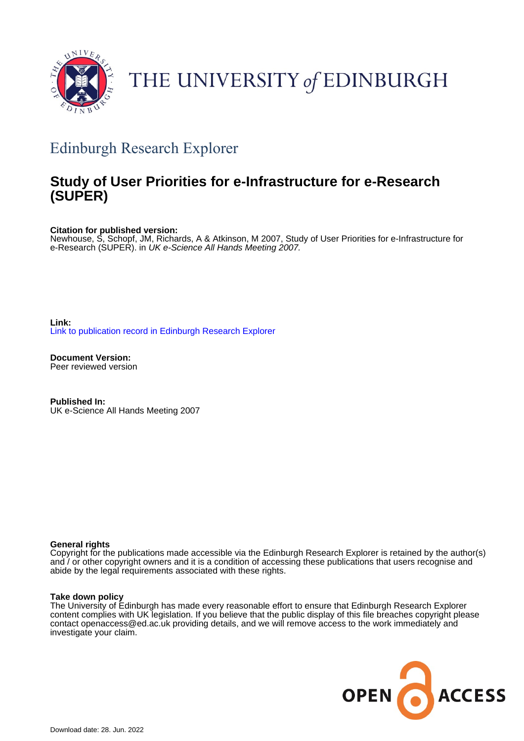

# THE UNIVERSITY of EDINBURGH

# Edinburgh Research Explorer

### **Study of User Priorities for e-Infrastructure for e-Research (SUPER)**

**Citation for published version:**

Newhouse, S, Schopf, JM, Richards, A & Atkinson, M 2007, Study of User Priorities for e-Infrastructure for e-Research (SUPER). in UK e-Science All Hands Meeting 2007.

**Link:** [Link to publication record in Edinburgh Research Explorer](https://www.research.ed.ac.uk/en/publications/9e4696f5-758f-40d3-9565-13c2dd66df6f)

**Document Version:** Peer reviewed version

**Published In:** UK e-Science All Hands Meeting 2007

#### **General rights**

Copyright for the publications made accessible via the Edinburgh Research Explorer is retained by the author(s) and / or other copyright owners and it is a condition of accessing these publications that users recognise and abide by the legal requirements associated with these rights.

#### **Take down policy**

The University of Edinburgh has made every reasonable effort to ensure that Edinburgh Research Explorer content complies with UK legislation. If you believe that the public display of this file breaches copyright please contact openaccess@ed.ac.uk providing details, and we will remove access to the work immediately and investigate your claim.

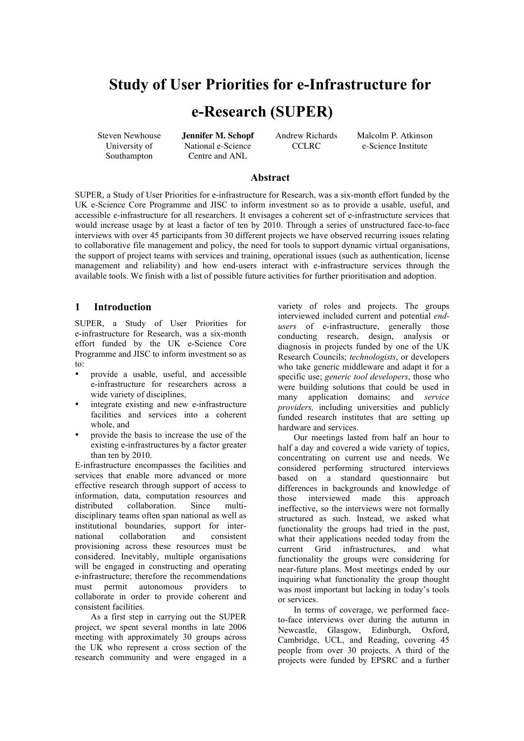## **Study of User Priorities for e-Infrastructure for**

### **e-Research (SUPER)**

University of Southampton National e-Science Centre and ANL

Steven Newhouse **Jennifer M. Schopf** Andrew Richards Malcolm P. Atkinson CCLRC e-Science Institute

#### **Abstract**

SUPER, a Study of User Priorities for e-infrastructure for Research, was a six-month effort funded by the UK e-Science Core Programme and JISC to inform investment so as to provide a usable, useful, and accessible e-infrastructure for all researchers. It envisages a coherent set of e-infrastructure services that would increase usage by at least a factor of ten by 2010. Through a series of unstructured face-to-face interviews with over 45 participants from 30 different projects we have observed recurring issues relating to collaborative file management and policy, the need for tools to support dynamic virtual organisations, the support of project teams with services and training, operational issues (such as authentication, license management and reliability) and how end-users interact with e-infrastructure services through the available tools. We finish with a list of possible future activities for further prioritisation and adoption.

#### **1 Introduction**

SUPER, a Study of User Priorities for e-infrastructure for Research, was a six-month effort funded by the UK e-Science Core Programme and JISC to inform investment so as to:

- provide a usable, useful, and accessible e-infrastructure for researchers across a wide variety of disciplines,
- integrate existing and new e-infrastructure facilities and services into a coherent whole, and
- provide the basis to increase the use of the existing e-infrastructures by a factor greater than ten by 2010.

E-infrastructure encompasses the facilities and services that enable more advanced or more effective research through support of access to information, data, computation resources and distributed collaboration. Since multidisciplinary teams often span national as well as institutional boundaries, support for international collaboration and consistent provisioning across these resources must be considered. Inevitably, multiple organisations will be engaged in constructing and operating e-infrastructure; therefore the recommendations must permit autonomous providers to collaborate in order to provide coherent and consistent facilities.

As a first step in carrying out the SUPER project, we spent several months in late 2006 meeting with approximately 30 groups across the UK who represent a cross section of the research community and were engaged in a

variety of roles and projects. The groups interviewed included current and potential *endusers* of e-infrastructure, generally those conducting research, design, analysis or diagnosis in projects funded by one of the UK Research Councils; *technologists*, or developers who take generic middleware and adapt it for a specific use; *generic tool developers*, those who were building solutions that could be used in many application domains; and *service providers,* including universities and publicly funded research institutes that are setting up hardware and services.

Our meetings lasted from half an hour to half a day and covered a wide variety of topics, concentrating on current use and needs. We considered performing structured interviews based on a standard questionnaire but differences in backgrounds and knowledge of those interviewed made this approach ineffective, so the interviews were not formally structured as such. Instead, we asked what functionality the groups had tried in the past, what their applications needed today from the current Grid infrastructures and what functionality the groups were considering for near-future plans. Most meetings ended by our inquiring what functionality the group thought was most important but lacking in today's tools or services.

In terms of coverage, we performed faceto-face interviews over during the autumn in Newcastle, Glasgow, Edinburgh, Oxford, Cambridge, UCL, and Reading, covering 45 people from over 30 projects. A third of the projects were funded by EPSRC and a further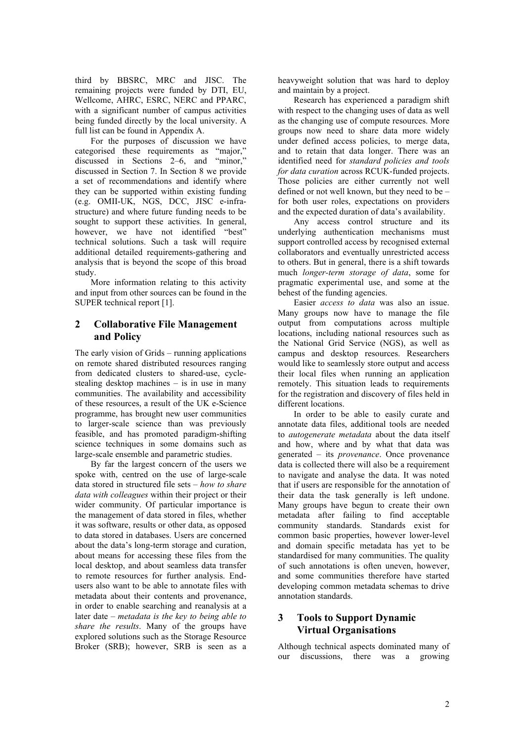third by BBSRC, MRC and JISC. The remaining projects were funded by DTI, EU, Wellcome, AHRC, ESRC, NERC and PPARC, with a significant number of campus activities being funded directly by the local university. A full list can be found in Appendix A.

For the purposes of discussion we have categorised these requirements as "major," discussed in Sections 2–6, and "minor," discussed in Section 7. In Section 8 we provide a set of recommendations and identify where they can be supported within existing funding (e.g. OMII-UK, NGS, DCC, JISC e-infrastructure) and where future funding needs to be sought to support these activities. In general, however, we have not identified "best" technical solutions. Such a task will require additional detailed requirements-gathering and analysis that is beyond the scope of this broad study.

More information relating to this activity and input from other sources can be found in the SUPER technical report [1].

#### **2 Collaborative File Management and Policy**

The early vision of Grids – running applications on remote shared distributed resources ranging from dedicated clusters to shared-use, cyclestealing desktop machines – is in use in many communities. The availability and accessibility of these resources, a result of the UK e-Science programme, has brought new user communities to larger-scale science than was previously feasible, and has promoted paradigm-shifting science techniques in some domains such as large-scale ensemble and parametric studies.

By far the largest concern of the users we spoke with, centred on the use of large-scale data stored in structured file sets – *how to share data with colleagues* within their project or their wider community. Of particular importance is the management of data stored in files, whether it was software, results or other data, as opposed to data stored in databases. Users are concerned about the data's long-term storage and curation, about means for accessing these files from the local desktop, and about seamless data transfer to remote resources for further analysis. Endusers also want to be able to annotate files with metadata about their contents and provenance, in order to enable searching and reanalysis at a later date – *metadata is the key to being able to share the results*. Many of the groups have explored solutions such as the Storage Resource Broker (SRB); however, SRB is seen as a

heavyweight solution that was hard to deploy and maintain by a project.

Research has experienced a paradigm shift with respect to the changing uses of data as well as the changing use of compute resources. More groups now need to share data more widely under defined access policies, to merge data, and to retain that data longer. There was an identified need for *standard policies and tools for data curation* across RCUK-funded projects. Those policies are either currently not well defined or not well known, but they need to be – for both user roles, expectations on providers and the expected duration of data's availability.

Any access control structure and its underlying authentication mechanisms must support controlled access by recognised external collaborators and eventually unrestricted access to others. But in general, there is a shift towards much *longer-term storage of data*, some for pragmatic experimental use, and some at the behest of the funding agencies.

Easier *access to data* was also an issue. Many groups now have to manage the file output from computations across multiple locations, including national resources such as the National Grid Service (NGS), as well as campus and desktop resources. Researchers would like to seamlessly store output and access their local files when running an application remotely. This situation leads to requirements for the registration and discovery of files held in different locations.

In order to be able to easily curate and annotate data files, additional tools are needed to *autogenerate metadata* about the data itself and how, where and by what that data was generated – its *provenance*. Once provenance data is collected there will also be a requirement to navigate and analyse the data. It was noted that if users are responsible for the annotation of their data the task generally is left undone. Many groups have begun to create their own metadata after failing to find acceptable community standards. Standards exist for common basic properties, however lower-level and domain specific metadata has yet to be standardised for many communities. The quality of such annotations is often uneven, however, and some communities therefore have started developing common metadata schemas to drive annotation standards.

#### **3 Tools to Support Dynamic Virtual Organisations**

Although technical aspects dominated many of our discussions, there was a growing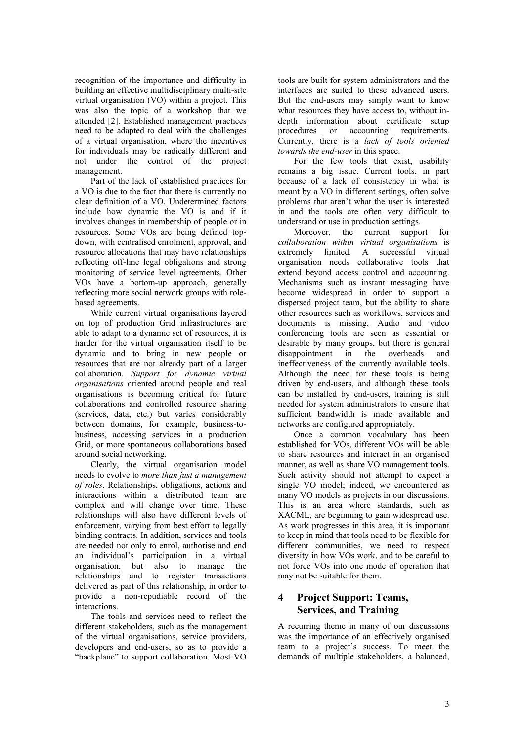recognition of the importance and difficulty in building an effective multidisciplinary multi-site virtual organisation (VO) within a project. This was also the topic of a workshop that we attended [2]. Established management practices need to be adapted to deal with the challenges of a virtual organisation, where the incentives for individuals may be radically different and not under the control of the project management.

Part of the lack of established practices for a VO is due to the fact that there is currently no clear definition of a VO. Undetermined factors include how dynamic the VO is and if it involves changes in membership of people or in resources. Some VOs are being defined topdown, with centralised enrolment, approval, and resource allocations that may have relationships reflecting off-line legal obligations and strong monitoring of service level agreements. Other VOs have a bottom-up approach, generally reflecting more social network groups with rolebased agreements.

While current virtual organisations layered on top of production Grid infrastructures are able to adapt to a dynamic set of resources, it is harder for the virtual organisation itself to be dynamic and to bring in new people or resources that are not already part of a larger collaboration. *Support for dynamic virtual organisations* oriented around people and real organisations is becoming critical for future collaborations and controlled resource sharing (services, data, etc.) but varies considerably between domains, for example, business-tobusiness, accessing services in a production Grid, or more spontaneous collaborations based around social networking.

Clearly, the virtual organisation model needs to evolve to *more than just a management of roles*. Relationships, obligations, actions and interactions within a distributed team are complex and will change over time. These relationships will also have different levels of enforcement, varying from best effort to legally binding contracts. In addition, services and tools are needed not only to enrol, authorise and end an individual's participation in a virtual organisation, but also to manage the relationships and to register transactions delivered as part of this relationship, in order to provide a non-repudiable record of the interactions.

The tools and services need to reflect the different stakeholders, such as the management of the virtual organisations, service providers, developers and end-users, so as to provide a "backplane" to support collaboration. Most VO

tools are built for system administrators and the interfaces are suited to these advanced users. But the end-users may simply want to know what resources they have access to, without indepth information about certificate setup procedures or accounting requirements. Currently, there is a *lack of tools oriented towards the end-user* in this space.

For the few tools that exist, usability remains a big issue. Current tools, in part because of a lack of consistency in what is meant by a VO in different settings, often solve problems that aren't what the user is interested in and the tools are often very difficult to understand or use in production settings.

Moreover, the current support for *collaboration within virtual organisations* is A successful virtual organisation needs collaborative tools that extend beyond access control and accounting. Mechanisms such as instant messaging have become widespread in order to support a dispersed project team, but the ability to share other resources such as workflows, services and documents is missing. Audio and video conferencing tools are seen as essential or desirable by many groups, but there is general disappointment in the overheads and ineffectiveness of the currently available tools. Although the need for these tools is being driven by end-users, and although these tools can be installed by end-users, training is still needed for system administrators to ensure that sufficient bandwidth is made available and networks are configured appropriately.

Once a common vocabulary has been established for VOs, different VOs will be able to share resources and interact in an organised manner, as well as share VO management tools. Such activity should not attempt to expect a single VO model; indeed, we encountered as many VO models as projects in our discussions. This is an area where standards, such as XACML, are beginning to gain widespread use. As work progresses in this area, it is important to keep in mind that tools need to be flexible for different communities, we need to respect diversity in how VOs work, and to be careful to not force VOs into one mode of operation that may not be suitable for them.

#### **4 Project Support: Teams, Services, and Training**

A recurring theme in many of our discussions was the importance of an effectively organised team to a project's success. To meet the demands of multiple stakeholders, a balanced,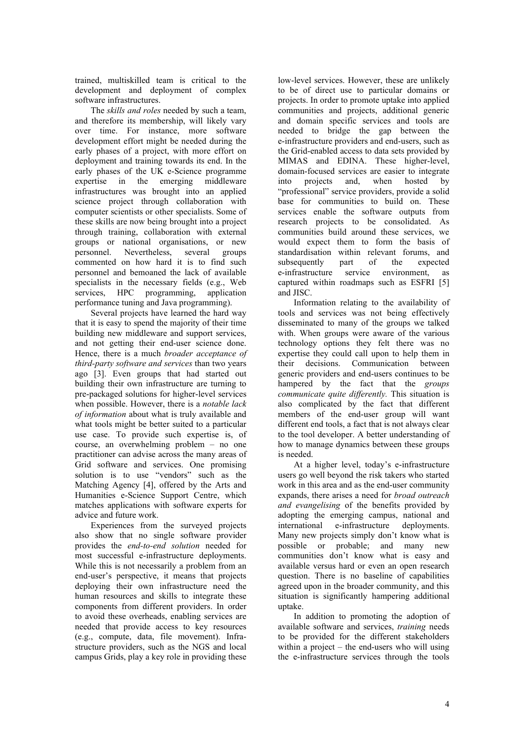trained, multiskilled team is critical to the development and deployment of complex software infrastructures.

The *skills and roles* needed by such a team, and therefore its membership, will likely vary over time. For instance, more software development effort might be needed during the early phases of a project, with more effort on deployment and training towards its end. In the early phases of the UK e-Science programme expertise in the emerging middleware infrastructures was brought into an applied science project through collaboration with computer scientists or other specialists. Some of these skills are now being brought into a project through training, collaboration with external groups or national organisations, or new personnel. Nevertheless, several groups commented on how hard it is to find such personnel and bemoaned the lack of available specialists in the necessary fields (e.g., Web services, HPC programming, application performance tuning and Java programming).

Several projects have learned the hard way that it is easy to spend the majority of their time building new middleware and support services, and not getting their end-user science done. Hence, there is a much *broader acceptance of third-party software and services* than two years ago [3]. Even groups that had started out building their own infrastructure are turning to pre-packaged solutions for higher-level services when possible. However, there is a *notable lack of information* about what is truly available and what tools might be better suited to a particular use case. To provide such expertise is, of course, an overwhelming problem – no one practitioner can advise across the many areas of Grid software and services. One promising solution is to use "vendors" such as the Matching Agency [4], offered by the Arts and Humanities e-Science Support Centre, which matches applications with software experts for advice and future work.

Experiences from the surveyed projects also show that no single software provider provides the *end-to-end solution* needed for most successful e-infrastructure deployments. While this is not necessarily a problem from an end-user's perspective, it means that projects deploying their own infrastructure need the human resources and skills to integrate these components from different providers. In order to avoid these overheads, enabling services are needed that provide access to key resources (e.g., compute, data, file movement). Infrastructure providers, such as the NGS and local campus Grids, play a key role in providing these

low-level services. However, these are unlikely to be of direct use to particular domains or projects. In order to promote uptake into applied communities and projects, additional generic and domain specific services and tools are needed to bridge the gap between the e-infrastructure providers and end-users, such as the Grid-enabled access to data sets provided by MIMAS and EDINA. These higher-level, domain-focused services are easier to integrate into projects and, when hosted by "professional" service providers, provide a solid base for communities to build on. These services enable the software outputs from research projects to be consolidated. As communities build around these services, we would expect them to form the basis of standardisation within relevant forums, and subsequently part of the expected e-infrastructure service environment, as captured within roadmaps such as ESFRI [5] and JISC.

Information relating to the availability of tools and services was not being effectively disseminated to many of the groups we talked with. When groups were aware of the various technology options they felt there was no expertise they could call upon to help them in their decisions. Communication between generic providers and end-users continues to be hampered by the fact that the *groups communicate quite differently.* This situation is also complicated by the fact that different members of the end-user group will want different end tools, a fact that is not always clear to the tool developer. A better understanding of how to manage dynamics between these groups is needed.

At a higher level, today's e-infrastructure users go well beyond the risk takers who started work in this area and as the end-user community expands, there arises a need for *broad outreach and evangelising* of the benefits provided by adopting the emerging campus, national and international e-infrastructure deployments. Many new projects simply don't know what is possible or probable; and many new communities don't know what is easy and available versus hard or even an open research question. There is no baseline of capabilities agreed upon in the broader community, and this situation is significantly hampering additional uptake.

In addition to promoting the adoption of available software and services, *training* needs to be provided for the different stakeholders within a project – the end-users who will using the e-infrastructure services through the tools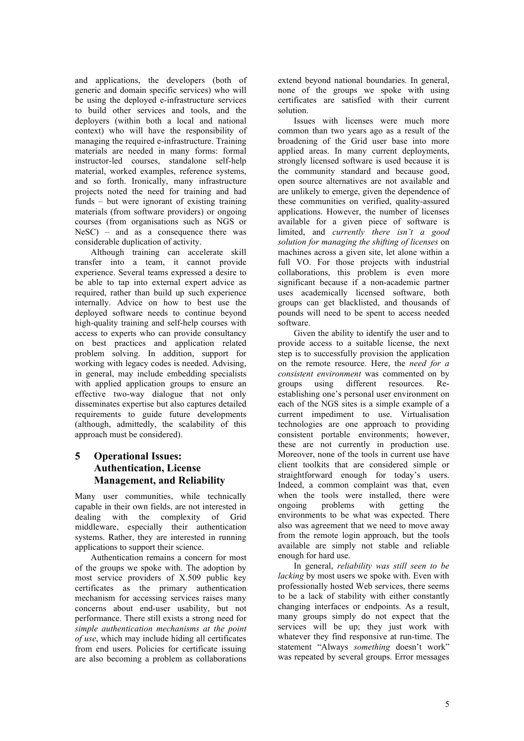and applications, the developers (both of generic and domain specific services) who will be using the deployed e-infrastructure services to build other services and tools, and the deployers (within both a local and national context) who will have the responsibility of managing the required e-infrastructure. Training materials are needed in many forms: formal instructor-led courses standalone self-help material, worked examples, reference systems, and so forth. Ironically, many infrastructure projects noted the need for training and had funds – but were ignorant of existing training materials (from software providers) or ongoing courses (from organisations such as NGS or NeSC) – and as a consequence there was considerable duplication of activity.

Although training can accelerate skill transfer into a team, it cannot provide experience. Several teams expressed a desire to be able to tap into external expert advice as required, rather than build up such experience internally. Advice on how to best use the deployed software needs to continue beyond high-quality training and self-help courses with access to experts who can provide consultancy on best practices and application related problem solving. In addition, support for working with legacy codes is needed. Advising, in general, may include embedding specialists with applied application groups to ensure an effective two-way dialogue that not only disseminates expertise but also captures detailed requirements to guide future developments (although, admittedly, the scalability of this approach must be considered).

#### **5 Operational Issues: Authentication, License Management, and Reliability**

Many user communities, while technically capable in their own fields, are not interested in dealing with the complexity of Grid middleware, especially their authentication systems. Rather, they are interested in running applications to support their science.

Authentication remains a concern for most of the groups we spoke with. The adoption by most service providers of X.509 public key certificates as the primary authentication mechanism for accessing services raises many concerns about end-user usability, but not performance. There still exists a strong need for *simple authentication mechanisms at the point of use*, which may include hiding all certificates from end users. Policies for certificate issuing are also becoming a problem as collaborations

extend beyond national boundaries. In general, none of the groups we spoke with using certificates are satisfied with their current solution.

Issues with licenses were much more common than two years ago as a result of the broadening of the Grid user base into more applied areas. In many current deployments strongly licensed software is used because it is the community standard and because good, open source alternatives are not available and are unlikely to emerge, given the dependence of these communities on verified, quality-assured applications. However, the number of licenses available for a given piece of software is limited, and *currently there isn't a good solution for managing the shifting of licenses* on machines across a given site, let alone within a full VO. For those projects with industrial collaborations, this problem is even more significant because if a non-academic partner uses academically licensed software, both groups can get blacklisted, and thousands of pounds will need to be spent to access needed software.

Given the ability to identify the user and to provide access to a suitable license, the next step is to successfully provision the application on the remote resource. Here, the *need for a consistent environment* was commented on by groups using different resources. Reestablishing one's personal user environment on each of the NGS sites is a simple example of a current impediment to use. Virtualisation technologies are one approach to providing consistent portable environments; however, these are not currently in production use. Moreover, none of the tools in current use have client toolkits that are considered simple or straightforward enough for today's users. Indeed, a common complaint was that, even when the tools were installed, there were ongoing problems with getting the environments to be what was expected. There also was agreement that we need to move away from the remote login approach, but the tools available are simply not stable and reliable enough for hard use.

In general, *reliability was still seen to be lacking* by most users we spoke with. Even with professionally hosted Web services, there seems to be a lack of stability with either constantly changing interfaces or endpoints. As a result, many groups simply do not expect that the services will be up; they just work with whatever they find responsive at run-time. The statement "Always *something* doesn't work" was repeated by several groups. Error messages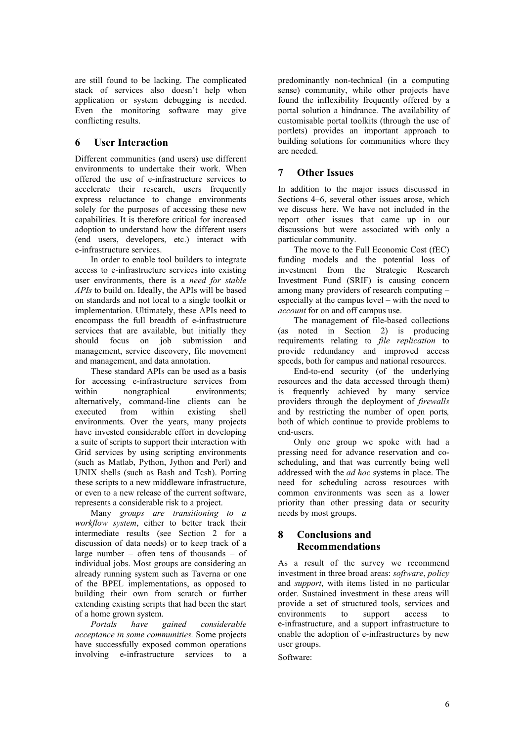are still found to be lacking. The complicated stack of services also doesn't help when application or system debugging is needed. Even the monitoring software may give conflicting results.

#### **6 User Interaction**

Different communities (and users) use different environments to undertake their work. When offered the use of e-infrastructure services to accelerate their research, users frequently express reluctance to change environments solely for the purposes of accessing these new capabilities. It is therefore critical for increased adoption to understand how the different users (end users, developers, etc.) interact with e-infrastructure services.

In order to enable tool builders to integrate access to e-infrastructure services into existing user environments, there is a *need for stable APIs* to build on. Ideally, the APIs will be based on standards and not local to a single toolkit or implementation. Ultimately, these APIs need to encompass the full breadth of e-infrastructure services that are available, but initially they should focus on job submission and management, service discovery, file movement and management, and data annotation.

These standard APIs can be used as a basis for accessing e-infrastructure services from within nongraphical environments; alternatively, command-line clients can be executed from within existing shell executed from within existing shell environments. Over the years, many projects have invested considerable effort in developing a suite of scripts to support their interaction with Grid services by using scripting environments (such as Matlab, Python, Jython and Perl) and UNIX shells (such as Bash and Tcsh). Porting these scripts to a new middleware infrastructure, or even to a new release of the current software, represents a considerable risk to a project.

Many *groups are transitioning to a workflow system*, either to better track their intermediate results (see Section 2 for a discussion of data needs) or to keep track of a large number – often tens of thousands – of individual jobs. Most groups are considering an already running system such as Taverna or one of the BPEL implementations, as opposed to building their own from scratch or further extending existing scripts that had been the start of a home grown system.

*Portals have gained considerable acceptance in some communities.* Some projects have successfully exposed common operations involving e-infrastructure services to a predominantly non-technical (in a computing sense) community, while other projects have found the inflexibility frequently offered by a portal solution a hindrance. The availability of customisable portal toolkits (through the use of portlets) provides an important approach to building solutions for communities where they are needed.

#### **7 Other Issues**

In addition to the major issues discussed in Sections 4–6, several other issues arose, which we discuss here. We have not included in the report other issues that came up in our discussions but were associated with only a particular community.

The move to the Full Economic Cost (fEC) funding models and the potential loss of investment from the Strategic Research Investment Fund (SRIF) is causing concern among many providers of research computing – especially at the campus level – with the need to *account* for on and off campus use.

The management of file-based collections (as noted in Section 2) is producing requirements relating to *file replication* to provide redundancy and improved access speeds, both for campus and national resources.

End-to-end security (of the underlying resources and the data accessed through them) is frequently achieved by many service providers through the deployment of *firewalls* and by restricting the number of open ports*,* both of which continue to provide problems to end-users.

Only one group we spoke with had a pressing need for advance reservation and coscheduling, and that was currently being well addressed with the *ad hoc* systems in place. The need for scheduling across resources with common environments was seen as a lower priority than other pressing data or security needs by most groups.

#### **8 Conclusions and Recommendations**

As a result of the survey we recommend investment in three broad areas: *software*, *policy* and *support*, with items listed in no particular order. Sustained investment in these areas will provide a set of structured tools, services and environments to support access to e-infrastructure, and a support infrastructure to enable the adoption of e-infrastructures by new user groups.

Software: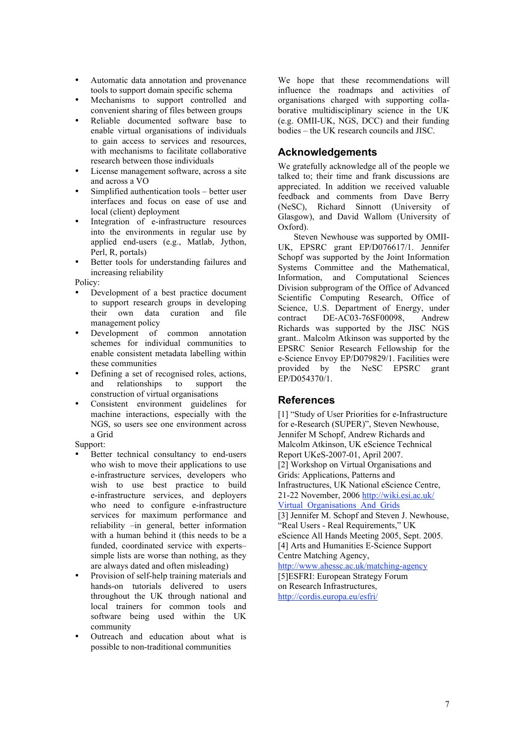- Automatic data annotation and provenance tools to support domain specific schema
- Mechanisms to support controlled and convenient sharing of files between groups
- Reliable documented software base to enable virtual organisations of individuals to gain access to services and resources, with mechanisms to facilitate collaborative research between those individuals
- License management software, across a site and across a VO
- Simplified authentication tools better user interfaces and focus on ease of use and local (client) deployment
- Integration of e-infrastructure resources into the environments in regular use by applied end-users (e.g., Matlab, Jython, Perl, R, portals)
- Better tools for understanding failures and increasing reliability

Policy:

- Development of a best practice document to support research groups in developing their own data curation and file management policy
- Development of common annotation schemes for individual communities to enable consistent metadata labelling within these communities
- Defining a set of recognised roles, actions,<br>and relationships to support the and relationships to support the construction of virtual organisations
- Consistent environment guidelines for machine interactions, especially with the NGS, so users see one environment across a Grid
- Support:
- Better technical consultancy to end-users who wish to move their applications to use e-infrastructure services, developers who wish to use best practice to build e-infrastructure services, and deployers who need to configure e-infrastructure services for maximum performance and reliability –in general, better information with a human behind it (this needs to be a funded, coordinated service with experts– simple lists are worse than nothing, as they are always dated and often misleading)
- Provision of self-help training materials and hands-on tutorials delivered to users throughout the UK through national and local trainers for common tools and software being used within the UK community
- Outreach and education about what is possible to non-traditional communities

We hope that these recommendations will influence the roadmaps and activities of organisations charged with supporting collaborative multidisciplinary science in the UK (e.g. OMII-UK, NGS, DCC) and their funding bodies – the UK research councils and JISC.

#### **Acknowledgements**

We gratefully acknowledge all of the people we talked to; their time and frank discussions are appreciated. In addition we received valuable feedback and comments from Dave Berry (NeSC), Richard Sinnott (University of Glasgow), and David Wallom (University of Oxford).

Steven Newhouse was supported by OMII-UK, EPSRC grant EP/D076617/1. Jennifer Schopf was supported by the Joint Information Systems Committee and the Mathematical, Information, and Computational Sciences Division subprogram of the Office of Advanced Scientific Computing Research, Office of Science, U.S. Department of Energy, under contract DE-AC03-76SF00098, Andrew Richards was supported by the JISC NGS grant.. Malcolm Atkinson was supported by the EPSRC Senior Research Fellowship for the e-Science Envoy EP/D079829/1. Facilities were provided by the NeSC EPSRC grant EP/D054370/1.

#### **References**

[1] "Study of User Priorities for e-Infrastructure for e-Research (SUPER)", Steven Newhouse, Jennifer M Schopf, Andrew Richards and Malcolm Atkinson, UK eScience Technical Report UKeS-2007-01, April 2007. [2] Workshop on Virtual Organisations and Grids: Applications, Patterns and Infrastructures, UK National eScience Centre, 21-22 November, 2006 http://wiki.esi.ac.uk/ Virtual Organisations And Grids [3] Jennifer M. Schopf and Steven J. Newhouse, "Real Users - Real Requirements," UK eScience All Hands Meeting 2005, Sept. 2005. [4] Arts and Humanities E-Science Support Centre Matching Agency, http://www.ahessc.ac.uk/matching-agency [5]ESFRI: European Strategy Forum on Research Infrastructures, http://cordis.europa.eu/esfri/